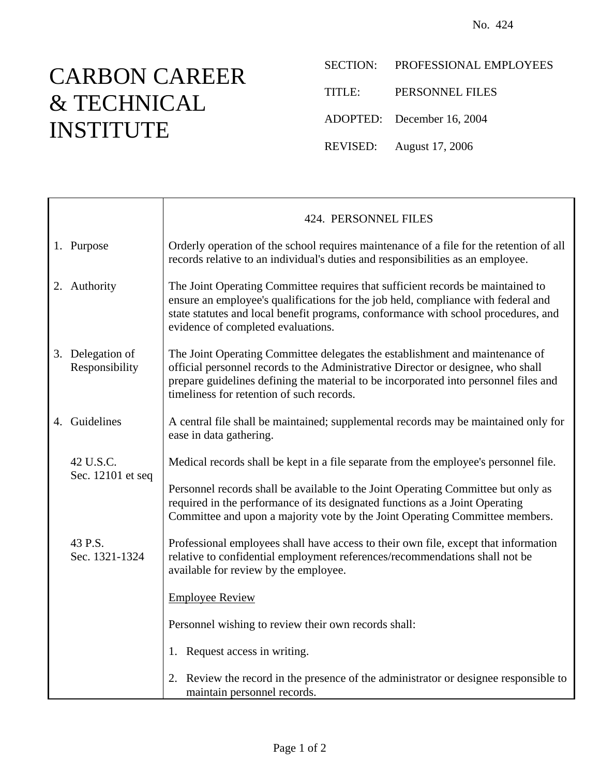## CARBON CAREER & TECHNICAL INSTITUTE

 $\mathsf{r}$ 

- SECTION: PROFESSIONAL EMPLOYEES
- TITLE: PERSONNEL FILES
- ADOPTED: December 16, 2004
- REVISED: August 17, 2006

|  |                                    | 424. PERSONNEL FILES                                                                                                                                                                                                                                                                                  |
|--|------------------------------------|-------------------------------------------------------------------------------------------------------------------------------------------------------------------------------------------------------------------------------------------------------------------------------------------------------|
|  | 1. Purpose                         | Orderly operation of the school requires maintenance of a file for the retention of all<br>records relative to an individual's duties and responsibilities as an employee.                                                                                                                            |
|  | 2. Authority                       | The Joint Operating Committee requires that sufficient records be maintained to<br>ensure an employee's qualifications for the job held, compliance with federal and<br>state statutes and local benefit programs, conformance with school procedures, and<br>evidence of completed evaluations.      |
|  | 3. Delegation of<br>Responsibility | The Joint Operating Committee delegates the establishment and maintenance of<br>official personnel records to the Administrative Director or designee, who shall<br>prepare guidelines defining the material to be incorporated into personnel files and<br>timeliness for retention of such records. |
|  | 4. Guidelines                      | A central file shall be maintained; supplemental records may be maintained only for<br>ease in data gathering.                                                                                                                                                                                        |
|  | 42 U.S.C.<br>Sec. 12101 et seq     | Medical records shall be kept in a file separate from the employee's personnel file.                                                                                                                                                                                                                  |
|  |                                    | Personnel records shall be available to the Joint Operating Committee but only as<br>required in the performance of its designated functions as a Joint Operating<br>Committee and upon a majority vote by the Joint Operating Committee members.                                                     |
|  | 43 P.S.<br>Sec. 1321-1324          | Professional employees shall have access to their own file, except that information<br>relative to confidential employment references/recommendations shall not be<br>available for review by the employee.                                                                                           |
|  |                                    | <b>Employee Review</b>                                                                                                                                                                                                                                                                                |
|  |                                    | Personnel wishing to review their own records shall:                                                                                                                                                                                                                                                  |
|  |                                    | 1. Request access in writing.                                                                                                                                                                                                                                                                         |
|  |                                    | Review the record in the presence of the administrator or designee responsible to<br>maintain personnel records.                                                                                                                                                                                      |